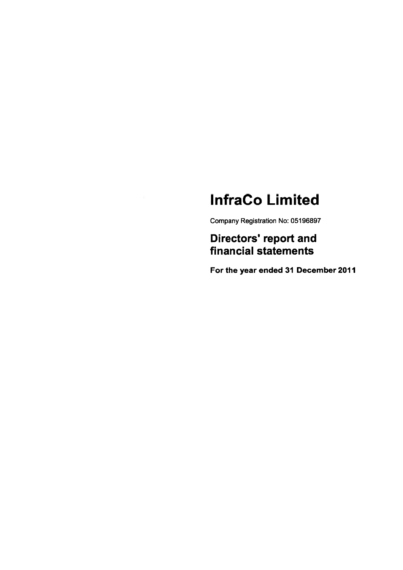# InfraCo Limited

Company Registration No: 05196897

# Directors' report and financial statements

For the year ended 31 December 2011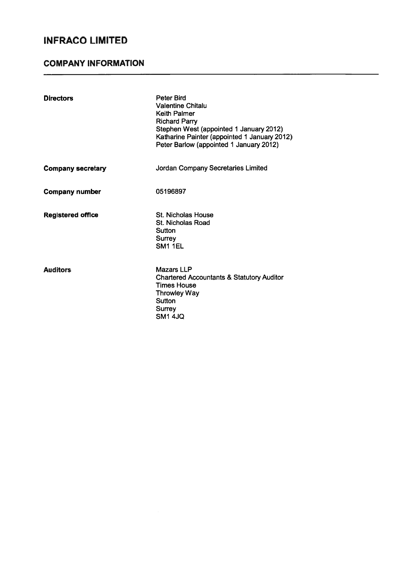## COMPANY INFORMATION

| <b>Directors</b>         | <b>Peter Bird</b><br><b>Valentine Chitalu</b><br>Keith Palmer<br><b>Richard Parry</b><br>Stephen West (appointed 1 January 2012)<br>Katharine Painter (appointed 1 January 2012)<br>Peter Barlow (appointed 1 January 2012) |
|--------------------------|-----------------------------------------------------------------------------------------------------------------------------------------------------------------------------------------------------------------------------|
| <b>Company secretary</b> | <b>Jordan Company Secretaries Limited</b>                                                                                                                                                                                   |
| <b>Company number</b>    | 05196897                                                                                                                                                                                                                    |
| <b>Registered office</b> | <b>St. Nicholas House</b><br><b>St. Nicholas Road</b><br>Sutton<br>Surrey<br>SM <sub>1</sub> 1EL                                                                                                                            |
| <b>Auditors</b>          | Mazars LLP<br><b>Chartered Accountants &amp; Statutory Auditor</b><br><b>Times House</b><br><b>Throwley Way</b><br>Sutton<br><b>Surrey</b><br><b>SM1 4JQ</b>                                                                |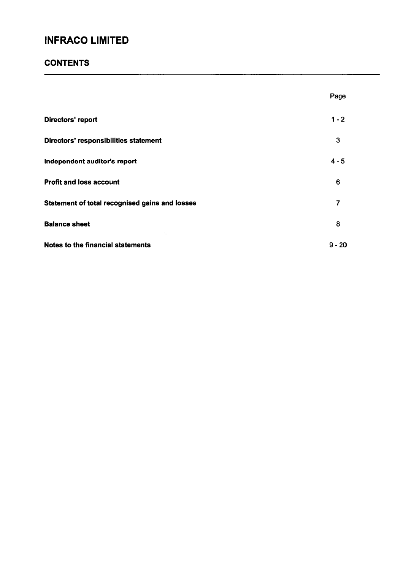# **CONTENTS**

|                                                | Page     |
|------------------------------------------------|----------|
| Directors' report                              | $1 - 2$  |
| Directors' responsibilities statement          | 3        |
| Independent auditor's report                   | $4 - 5$  |
| <b>Profit and loss account</b>                 | 6        |
| Statement of total recognised gains and losses | 7        |
| <b>Balance sheet</b>                           | 8        |
| <b>Notes to the financial statements</b>       | $9 - 20$ |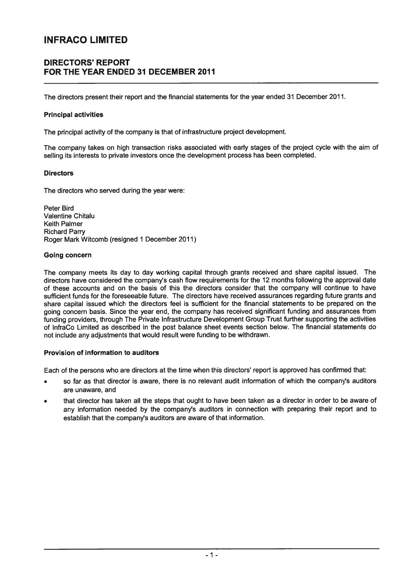### DIRECTORS' REPORT FOR THE YEAR ENDED 31 DECEMBER 2011

The directors present their report and the financial statements for the year ended 31 December 2011.

#### Principal activities

The principal activity of the company is that of infrastructure project development.

The company takes on high transaction risks associated with early stages of the project cycle with the aim of selling its interests to private investors once the development process has been completed.

#### **Directors**

The directors who served during the year were:

Peter Bird Valentine Chitalu Keith Palmer Richard Parry Roger Mark Witcomb (resigned <sup>1</sup> December 2011)

#### Going concern

The company meets its day to day working capital through grants received and share capital issued. The directors have considered the company's cash flow requirements for the 12 months following the approval date of these accounts and on the basis of this the directors consider that the company will continue to have sufficient funds for the foreseeable future. The directors have received assurances regarding future grants and share capital issued which the directors feel is sufficient for the financial statements to be prepared on the going concern basis. Since the year end, the company has received significant funding and assurances from funding providers, through The Private Infrastructure Development Group Trust further supporting the activities of InfraCo Limited as described in the post balance sheet events section below. The financial statements do not include any adjustments that would result were funding to be withdrawn.

#### Provision of information to auditors

Each of the persons who are directors at the time when this directors' report is approved has confirmed that:

- so far as that director is aware, there is no relevant audit information of which the company's auditors are unaware, and
- that director has taken all the steps that ought to have been taken as a director in order to be aware of any information needed by the company's auditors in connection with preparing their report and to establish that the company's auditors are aware of that information.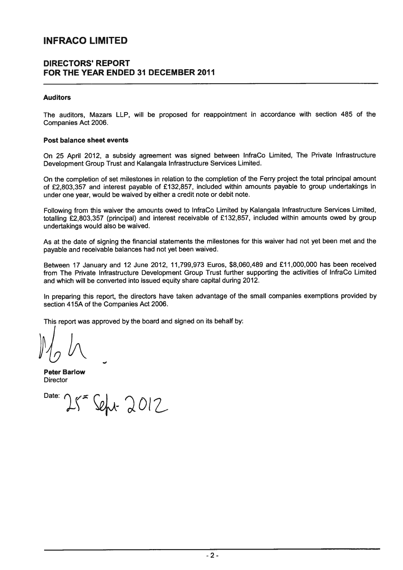### DIRECTORS' REPORT FOR THE YEAR ENDED 31 DECEMBER 2011

#### Auditors

The auditors, Mazars LLP, will be proposed for reappointment in accordance with section 485 of the Companies Act 2006.

#### Post balance sheet events

On 25 April 2012, a subsidy agreement was signed between InfraCo Limited, The Private Infrastructure Development Group Trust and Kalangala Infrastructure Services Limited.

On the completion of set milestones in relation to the completion of the Ferry project the total principal amount of £2,803,357 and interest payable of £132,857, included within amounts payable to group undertakings in under one year, would be waived by either a credit note or debit note.

Following from this waiver the amounts owed to InfraCo Limited by Kalangala Infrastructure Services Limited, totalling £2,803,357 (principal) and interest receivable of £132,857, included within amounts owed by group undertakings would also be waived.

As at the date of signing the financial statements the milestones for this waiver had not yet been met and the payable and receivable balances had not yet been waived.

Between 17 January and 12 June 2012, 11,799,973 Euros, \$8,060,489 and £11,000,000 has been received from The Private Infrastructure Development Group Trust further supporting the activities of InfraCo Limited and which will be converted into issued equity share capital during 2012.

In preparing this report, the directors have taken advantage of the small companies exemptions provided by section 415A of the Companies Act 2006.

This report was approved by the board and signed on its behalf by:

Peter Barlow **Director** 

Date:  $255$  Sehr  $2012$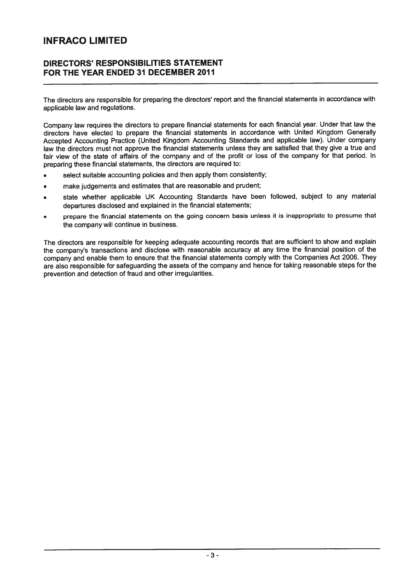### DIRECTORS' RESPONSIBILITIES STATEMENT FOR THE YEAR ENDED 31 DECEMBER 2011

The directors are responsible for preparing the directors' report and the financial statements in accordance with applicable law and regulations.

Company law requires the directors to prepare financial statements for each financial year. Under that law the directors have elected to prepare the financial statements in accordance with United Kingdom Generally Accepted Accounting Practice (United Kingdom Accounting Standards and applicable law). Under company law the directors must not approve the financial statements unless they are satisfied that they give a true and fair view of the state of affairs of the company and of the profit or loss of the company for that period. In preparing these financial statements, the directors are required to:

- select suitable accounting policies and then apply them consistently;
- make judgements and estimates that are reasonable and prudent;
- state whether applicable UK Accounting Standards have been followed, subject to any material departures disclosed and explained in the financial statements;
- prepare the financial statements on the going concern basis unless it is inappropriate to presume that the company will continue in business.

The directors are responsible for keeping adequate accounting records that are sufficient to show and explain the company's transactions and disclose with reasonable accuracy at any time the financial position of the company and enable them to ensure that the financial statements comply with the Companies Act 2006. They are also responsible for safeguarding the assets of the company and hence for taking reasonable steps for the prevention and detection of fraud and other irregularities.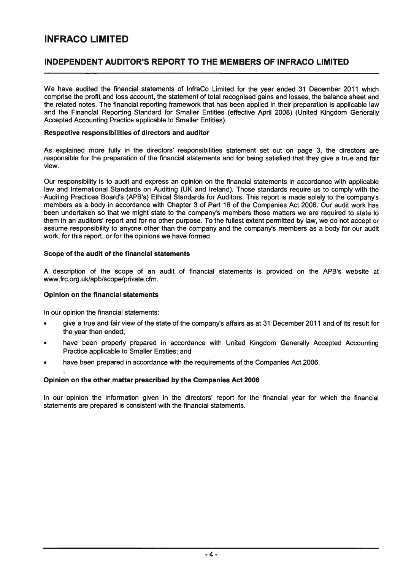# INDEPENDENT AUDITOR'S REPORT TO THE MEMBERS OF INFRACO LIMITED

We have audited the financial statements of InfraCo Limited for the year ended 31 December 2011 which comprise the profit and loss account, the statement of total recognised gains and losses, the balance sheet and the related notes. The financial reporting framework that has been applied in their preparation is applicable law and the Financial Reporting Standard for Smaller Entities (effective April 2008) (United Kingdom Generally Accepted Accounting Practice applicable to Smaller Entities).

#### Respective responsibilities of directors and auditor

As explained more fully in the directors' responsibilities statement set out on page 3, the directors are responsible for the preparation of the financial statements and for being satisfied that they give a true and fair view.

Our responsibility is to audit and express an opinion on the financial statements in accordance with applicable law and International Standards on Auditing (UK and Ireland). Those standards require us to comply with the Auditing Practices Board's (APB's) Ethical Standards for Auditors. This report is made solely to the company's members as a body in accordance with Chapter 3 of Part 16 of the Companies Act 2006. Our audit work has been undertaken so that we might state to the company's members those matters we are required to state to them in an auditors' report and for no other purpose. To the fullest extent permitted by law, we do not accept or assume responsibility to anyone other than the company and the company's members as a body for our audit work, for this report, or for the opinions we have formed.

#### Scope of the audit of the financial statements

A description of the scope of an audit of financial statements is provided on the APB's website at www.frc.org.uk/apb/scope/private.cfm.

#### Opinion on the financial statements

In our opinion the financial statements:

- give a true and fair view of the state of the company's affairs as at 31 December 2011 and of its result for the year then ended;
- have been properly prepared in accordance with United Kingdom Generally Accepted Accounting Practice applicable to Smaller Entities; and
- have been prepared in accordance with the requirements of the Companies Act 2006.

#### Opinion on the other matter prescribed by the Companies Act 2006

In our opinion the information given in the directors' report for the financial year for which the financial statements are prepared is consistent with the financial statements.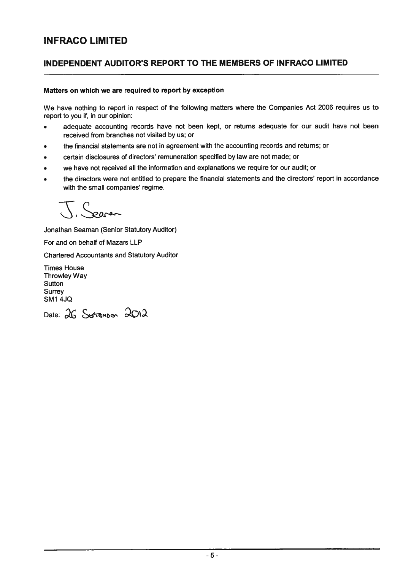# INDEPENDENT AUDITOR'S REPORT TO THE MEMBERS OF INFRACO LIMITED

#### Matters on which we are required to report by exception

We have nothing to report in respect of the following matters where the Companies Act 2006 requires us to report to you if, in our opinion:

- adequate accounting records have not been kept, or returns adequate for our audit have not been received from branches not visited by us; or
- the financial statements are not in agreement with the accounting records and returns; or
- certain disclosures of directors' remuneration specified by law are not made; or
- we have not received all the information and explanations we require for our audit; or
- the directors were not entitled to prepare the financial statements and the directors' report in accordance with the small companies' regime.

 $200 - 4$ 

Jonathan Seaman (Senior Statutory Auditor)

For and on behalf of Mazars LLP

Chartered Accountants and Statutory Auditor

Times House Throwley Way **Sutton Surrey** SMI 4JQ

Date: 26 Serienbon 2012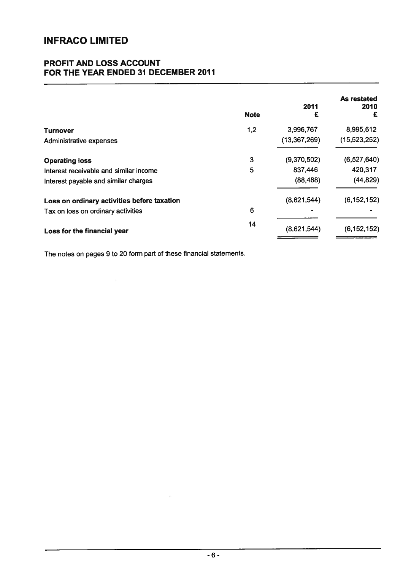# PROFIT AND LOSS ACCOUNT FOR THE YEAR ENDED 31 DECEMBER 2011

|                                             | <b>Note</b> | 2011<br>£      | As restated<br>2010<br>£ |
|---------------------------------------------|-------------|----------------|--------------------------|
| <b>Turnover</b>                             | 1,2         | 3,996,767      | 8,995,612                |
| <b>Administrative expenses</b>              |             | (13, 367, 269) | (15, 523, 252)           |
| <b>Operating loss</b>                       | 3           | (9,370,502)    | (6,527,640)              |
| Interest receivable and similar income      | 5           | 837,446        | 420,317                  |
| Interest payable and similar charges        |             | (88, 488)      | (44, 829)                |
| Loss on ordinary activities before taxation |             | (8,621,544)    | (6, 152, 152)            |
| Tax on loss on ordinary activities          | 6           |                |                          |
| Loss for the financial year                 | 14          | (8,621,544)    | (6, 152, 152)            |

The notes on pages 9 to 20 form part of these financial statements.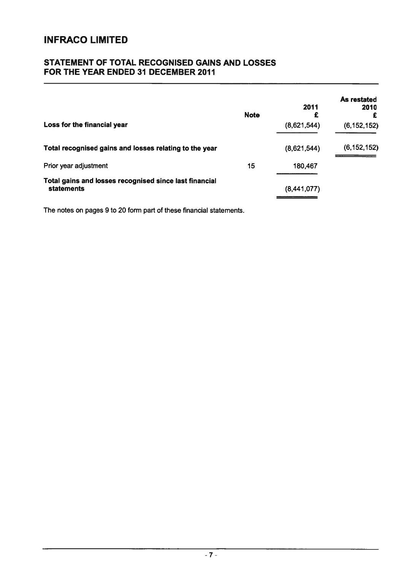## STATEMENT OF TOTAL RECOGNISED GAINS AND LOSSES FOR THE YEAR ENDED 31 DECEMBER 2011

| Loss for the financial year                                          | <b>Note</b> | 2011<br>£<br>(8,621,544) | As restated<br>2010<br>£<br>(6, 152, 152) |
|----------------------------------------------------------------------|-------------|--------------------------|-------------------------------------------|
| Total recognised gains and losses relating to the year               |             | (8,621,544)              | (6, 152, 152)                             |
| Prior year adjustment                                                | 15          | 180,467                  |                                           |
| Total gains and losses recognised since last financial<br>statements |             | (8,441,077)              |                                           |

The notes on pages 9 to 20 form part of these financial statements.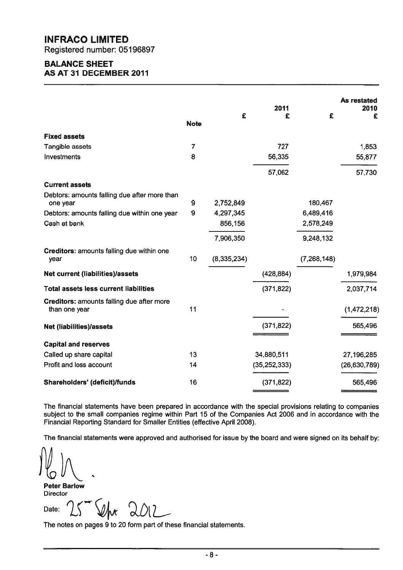Registered number: 05196897

### BALANCE SHEET AS AT 31 DECEMBER 2011

|                                                            | <b>Note</b>    | £           | 2011<br>£      | £             | As restated<br>2010<br>£ |
|------------------------------------------------------------|----------------|-------------|----------------|---------------|--------------------------|
| <b>Fixed assets</b>                                        |                |             |                |               |                          |
| Tangible assets                                            | $\overline{7}$ |             | 727            |               | 1,853                    |
| Investments                                                | 8              |             | 56,335         |               | 55,877                   |
|                                                            |                |             | 57,062         |               | 57,730                   |
| <b>Current assets</b>                                      |                |             |                |               |                          |
| Debtors: amounts falling due after more than<br>one year   | 9              | 2,752,849   |                | 180,467       |                          |
| Debtors: amounts falling due within one year               | 9              | 4,297,345   |                | 6,489,416     |                          |
| Cash at bank                                               |                | 856,156     |                | 2,578,249     |                          |
|                                                            |                | 7,906,350   |                | 9,248,132     |                          |
| Creditors: amounts falling due within one<br>year          | 10             | (8,335,234) |                | (7, 268, 148) |                          |
| <b>Net current (liabilities)/assets</b>                    |                |             | (428, 884)     |               | 1,979,984                |
| <b>Total assets less current liabilities</b>               |                |             | (371, 822)     |               | 2,037,714                |
| Creditors: amounts falling due after more<br>than one year | 11             |             |                |               | (1,472,218)              |
| <b>Net (liabilities)/assets</b>                            |                |             | (371, 822)     |               | 565,496                  |
| <b>Capital and reserves</b>                                |                |             |                |               |                          |
| Called up share capital                                    | 13             |             | 34,880,511     |               | 27,196,285               |
| Profit and loss account                                    | 14             |             | (35, 252, 333) |               | (26, 630, 789)           |
| <b>Shareholders' (deficit)/funds</b>                       | 16             |             | (371, 822)     |               | 565,496                  |

The financial statements have been prepared in accordance with the special provisions relating to companies subject to the small companies regime within Part 15 of the Companies Act 2006 and in accordance with the Financial Reporting Standard for Smaller Entities (effective April 2008).

The financial statements were approved and authorised for issue by the board and were signed on its behalf by:

Peter Barlow Director

 $2012$ Date:

The notes on pages 9 to 20 form part of these financial statements.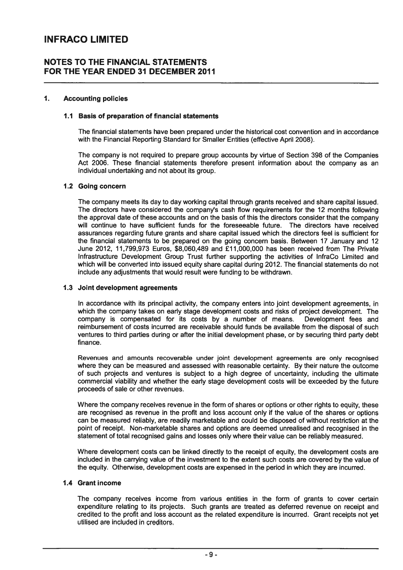### NOTES TO THE FINANCIAL STATEMENTS FOR THE YEAR ENDED 31 DECEMBER 2011

#### $\mathbf{1}$ Accounting policies

#### 1.1 Basis of preparation of financial statements

The financial statements have been prepared under the historical cost convention and in accordance with the Financial Reporting Standard for Smaller Entities (effective April 2008).

The company is not required to prepare group accounts by virtue of Section 398 of the Companies Act 2006. These financial statements therefore present information about the company as an individual undertaking and not about its group.

#### 1.2 Going concern

The company meets its day to day working capital through grants received and share capital issued. The directors have considered the company's cash flow requirements for the 12 months following the approval date of these accounts and on the basis of this the directors consider that the company will continue to have sufficient funds for the foreseeable future. The directors have received assurances regarding future grants and share capital issued which the directors feel is sufficient for the financial statements to be prepared on the going concern basis. Between 17 January and 12 June 2012, 11,799,973 Euros, \$8,060,489 and £11,000,000 has been received from The Private Infrastructure Development Group Trust further supporting the activities of InfraCo Limited and which will be converted into issued equity share capital during 2012. The financial statements do not include any adjustments that would result were funding to be withdrawn.

#### 1.3 Joint development agreements

In accordance with its principal activity, the company enters into joint development agreements, in which the company takes on early stage development costs and risks of project development. The company is compensated for its costs by a number of means. Development fees and reimbursement of costs incurred are receivable should funds be available from the disposal of such ventures to third parties during or after the initial development phase, or by securing third party debt finance.

Revenues and amounts recoverable under joint development agreements are only recognised where they can be measured and assessed with reasonable certainty. By their nature the outcome of such projects and ventures is subject to a high degree of uncertainty, including the ultimate commercial viability and whether the early stage development costs will be exceeded by the future proceeds of sale or other revenues.

Where the company receives revenue in the form of shares or options or other rights to equity, these are recognised as revenue in the profit and loss account only if the value of the shares or options can be measured reliably, are readily marketable and could be disposed of without restriction at the point of receipt. Non-marketable shares and options are deemed unrealised and recognised in the statement of total recognised gains and losses only where their value can be reliably measured.

Where development costs can be linked directly to the receipt of equity, the development costs are included in the carrying value of the investment to the extent such costs are covered by the value of the equity. Otherwise, development costs are expensed in the period in which they are incurred.

#### 1.4 Grant income

The company receives income from various entities in the form of grants to cover certain expenditure relating to its projects. Such grants are treated as deferred revenue on receipt and credited to the profit and loss account as the related expenditure is incurred. Grant receipts not yet utilised are included in creditors.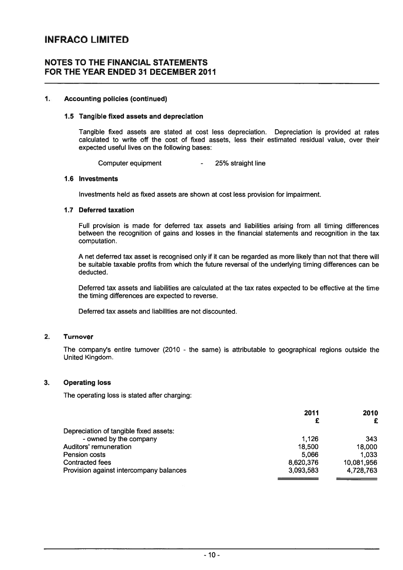### NOTES TO THE FINANCIAL STATEMENTS FOR THE YEAR ENDED 31 DECEMBER 2011

#### $1.$ Accounting policies (continued)

#### 1.5 Tangible fixed assets and depreciation

Tangible fixed assets are stated at cost less depreciation. Depreciation is provided at rates calculated to write off the cost of fixed assets, less their estimated residual value, over their expected useful lives on the following bases:

Computer equipment - 25% straight line

#### 1.6 Investments

Investments held as fixed assets are shown at cost less provision for impairment.

#### 1.7 Deferred taxation

Full provision is made for deferred tax assets and liabilities arising from all timing differences between the recognition of gains and losses in the financial statements and recognition in the tax computation.

A net deferred tax asset is recognised only if it can be regarded as more likely than not that there will be suitable taxable profits from which the future reversal of the underlying timing differences can be deducted.

Deferred tax assets and liabilities are calculated at the tax rates expected to be effective at the time the timing differences are expected to reverse.

Deferred tax assets and liabilities are not discounted.

#### $2.$ Turnover

The companVs entire turnover (2010 - the same) is attributable to geographical regions outside the United Kingdom.

#### 3. Operating loss

The operating loss is stated after charging:

|                                         | 2011      | 2010       |
|-----------------------------------------|-----------|------------|
|                                         |           | £          |
| Depreciation of tangible fixed assets:  |           |            |
| - owned by the company                  | 1,126     | 343        |
| Auditors' remuneration                  | 18,500    | 18,000     |
| <b>Pension costs</b>                    | 5,066     | 1,033      |
| <b>Contracted fees</b>                  | 8,620,376 | 10,081,956 |
| Provision against intercompany balances | 3,093,583 | 4,728,763  |
|                                         |           |            |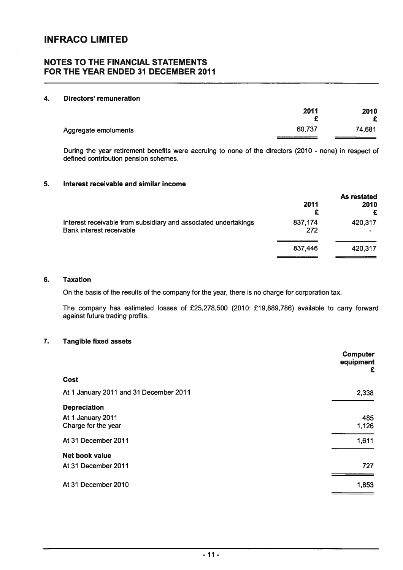### NOTES TO THE FINANCIAL STATEMENTS FOR THE YEAR ENDED 31 DECEMBER 2011

#### 4. Directors' remuneration

|                      | 2011<br>c | 2010   |
|----------------------|-----------|--------|
| Aggregate emoluments | 60,737    | 74,681 |
|                      |           |        |

During the year retirement benefits were accruing to none of the directors (2010 - none) in respect of defined contribution pension schemes.

### 5. Interest receivable and similar income

|                                                                                                    | 2011           | As restated<br>2010 |
|----------------------------------------------------------------------------------------------------|----------------|---------------------|
| Interest receivable from subsidiary and associated undertakings<br><b>Bank interest receivable</b> | 837,174<br>272 | 420,317             |
|                                                                                                    | 837,446        | 420,317             |

#### 6. Taxation

On the basis of the results of the company for the year, there is no charge for corporation tax.

The company has estimated losses of £25,278,500 (2010: £19,889,786) available to carry forward against future trading profits.

#### 7. Tangible fixed assets

|                                        | <b>Computer</b><br>equipment<br>£ |
|----------------------------------------|-----------------------------------|
| Cost                                   |                                   |
| At 1 January 2011 and 31 December 2011 | 2,338                             |
| <b>Depreciation</b>                    |                                   |
| At 1 January 2011                      | 485                               |
| Charge for the year                    | 1,126                             |
| At 31 December 2011                    | 1,611                             |
| <b>Net book value</b>                  |                                   |
| At 31 December 2011                    | 727                               |
| At 31 December 2010                    | 1,853                             |
|                                        |                                   |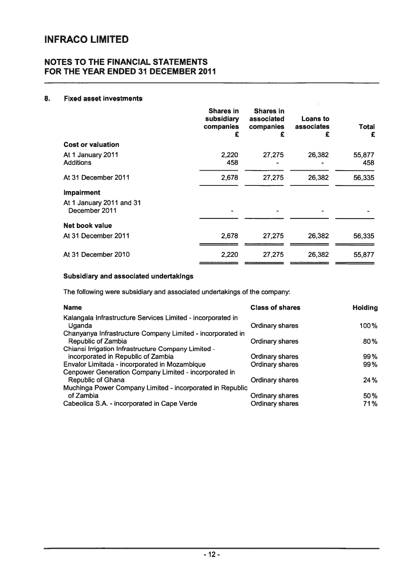## NOTES TO THE FINANCIAL STATEMENTS FOR THE YEAR ENDED 31 DECEMBER 2011

### 8. Fixed asset investments

|                                           | <b>Shares in</b><br>subsidiary<br>companies<br>£ | <b>Shares in</b><br>associated<br>companies<br>£ | Loans to<br>associates<br>£ | <b>Total</b><br>£ |
|-------------------------------------------|--------------------------------------------------|--------------------------------------------------|-----------------------------|-------------------|
| <b>Cost or valuation</b>                  |                                                  |                                                  |                             |                   |
| At 1 January 2011<br><b>Additions</b>     | 2,220<br>458                                     | 27,275                                           | 26,382                      | 55,877<br>458     |
| At 31 December 2011                       | 2,678                                            | 27,275                                           | 26,382                      | 56,335            |
| <b>Impairment</b>                         |                                                  |                                                  |                             |                   |
| At 1 January 2011 and 31<br>December 2011 |                                                  |                                                  |                             |                   |
| Net book value                            |                                                  |                                                  |                             |                   |
| At 31 December 2011                       | 2,678                                            | 27,275                                           | 26,382                      | 56,335            |
| At 31 December 2010                       | 2,220                                            | 27,275                                           | 26,382                      | 55,877            |
|                                           |                                                  |                                                  |                             |                   |

 $\approx$ 

### Subsidiary and associated undertakings

The following were subsidiary and associated undertakings of the company:

| <b>Name</b>                                                                         | <b>Class of shares</b>                           | <b>Holding</b> |
|-------------------------------------------------------------------------------------|--------------------------------------------------|----------------|
| Kalangala Infrastructure Services Limited - incorporated in<br>Uganda               | Ordinary shares                                  | 100%           |
| Chanyanya Infrastructure Company Limited - incorporated in<br>Republic of Zambia    | <b>Ordinary shares</b>                           | 80%            |
| Chiansi Irrigation Infrastructure Company Limited -                                 |                                                  |                |
| incorporated in Republic of Zambia<br>Envalor Limitada - incorporated in Mozambique | Ordinary shares<br><b>Ordinary shares</b>        | 99%<br>99%     |
| Cenpower Generation Company Limited - incorporated in<br><b>Republic of Ghana</b>   | Ordinary shares                                  | 24%            |
| Muchinga Power Company Limited - incorporated in Republic                           |                                                  |                |
| of Zambia<br>Cabeolica S.A. - incorporated in Cape Verde                            | <b>Ordinary shares</b><br><b>Ordinary shares</b> | 50%<br>71%     |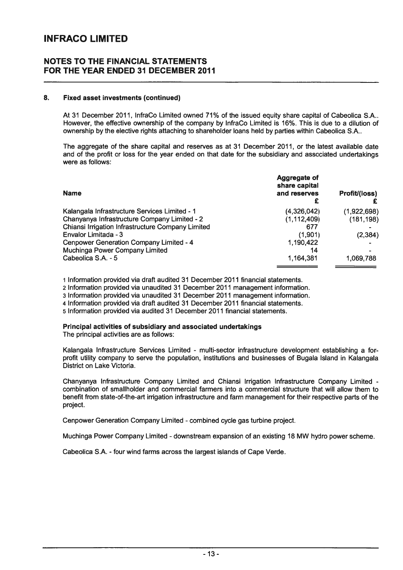### NOTES TO THE FINANCIAL STATEMENTS FOR THE YEAR ENDED 31 DECEMBER 2011

#### 8. Fixed asset investments (continued)

At 31 December 2011, InfraCo Limited owned 71% of the issued equity share capital of Cabeolica S.A.. However, the effective ownership of the company by InfraCo Limited is 16%. This is due to a dilution of ownership by the elective rights attaching to shareholder loans held by parties within Cabeolica S.A..

The aggregate of the share capital and reserves as at 31 December 2011, or the latest available date and of the profit or loss for the year ended on that date for the subsidiary and associated undertakings were as follows:

| <b>Name</b>                                       | <b>Aggregate of</b><br>share capital<br>and reserves | Profit/(loss)            |
|---------------------------------------------------|------------------------------------------------------|--------------------------|
| Kalangala Infrastructure Services Limited - 1     | (4,326,042)                                          | (1,922,698)              |
| Chanyanya Infrastructure Company Limited - 2      | (1, 112, 409)                                        | (181, 198)               |
| Chiansi Irrigation Infrastructure Company Limited | 677                                                  |                          |
| Envalor Limitada - 3                              | (1,901)                                              | (2, 384)                 |
| <b>Cenpower Generation Company Limited - 4</b>    | 1,190,422                                            |                          |
| Muchinga Power Company Limited                    | 14                                                   | $\overline{\phantom{a}}$ |
| Cabeolica S.A. - 5                                | 1,164,381                                            | 1,069,788                |

<sup>1</sup> Information provided via draft audited 31 December 2011 financial statements.

<sup>2</sup> Information provided via unaudited 31 December 2011 management information.

<sup>3</sup> Information provided via unaudited 31 December 2011 management information.

<sup>4</sup> Information provided via draft audited 31 December 2011 financial statements.

<sup>5</sup> Information provided via audited 31 December 2011 financial statements.

#### Principal activities of subsidiary and associated undertakings

The principal activities are as follows:

Kalangala Infrastructure Services Limited - multi-sector infrastructure development establishing a forprofit utility company to serve the population, institutions and businesses of Bugala Island in Kalangala District on Lake Victoria.

Chanyanya Infrastructure Company Limited and Chiansi Irrigation Infrastructure Company Limited combination of smallholder and commercial farmers into a commercial structure that will allow them to benefit from state-of-the-art irrigation infrastructure and farm management for their respective parts of the project.

Cenpower Generation Company Limited - combined cycle gas turbine project.

Muchinga Power Company Limited - downstream expansion of an existing 18 MW hydro power scheme.

Cabeolica S.A. - four wind farms across the largest islands of Cape Verde.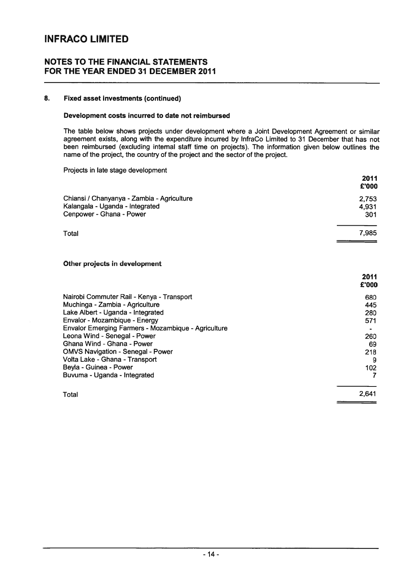### NOTES TO THE FINANCIAL STATEMENTS FOR THE YEAR ENDED 31 DECEMBER 2011

#### 8. Fixed asset investments (continued)

#### Development costs incurred to date not reimbursed

The table below shows projects under development where a Joint Development Agreement or similar agreement exists, along with the expenditure incurred by InfraCo Limited to 31 December that has not been reimbursed (excluding internal staff time on projects). The information given below outlines the name of the project, the country of the project and the sector of the project.

Projects in late stage development

|                                                                                                           | 2011<br>£'000         |
|-----------------------------------------------------------------------------------------------------------|-----------------------|
| Chiansi / Chanyanya - Zambia - Agriculture<br>Kalangala - Uganda - Integrated<br>Cenpower - Ghana - Power | 2,753<br>4,931<br>301 |
| <b>Total</b>                                                                                              | 7,985                 |

#### Other projects in development

|                                                            | 2011<br>£'000 |
|------------------------------------------------------------|---------------|
| Nairobi Commuter Rail - Kenya - Transport                  | 680           |
| Muchinga - Zambia - Agriculture                            | 445           |
| Lake Albert - Uganda - Integrated                          | 280           |
| Envalor - Mozambique - Energy                              | 571           |
| <b>Envalor Emerging Farmers - Mozambique - Agriculture</b> |               |
| Leona Wind - Senegal - Power                               | 260           |
| Ghana Wind - Ghana - Power                                 | 69            |
| <b>OMVS Navigation - Senegal - Power</b>                   | 218           |
| Volta Lake - Ghana - Transport                             | 9             |
| Beyla - Guinea - Power                                     | 102           |
| Buvuma - Uganda - Integrated                               |               |
| Total                                                      | 2,641         |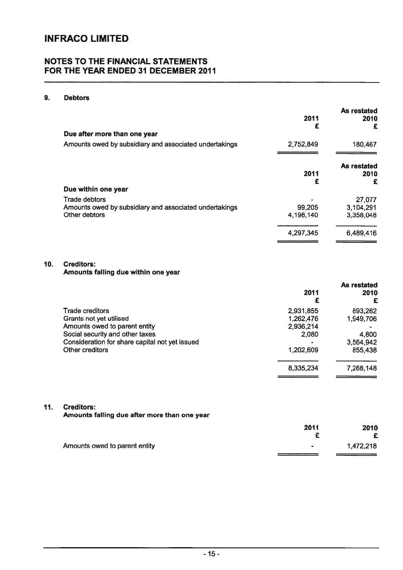## NOTES TO THE FINANCIAL STATEMENTS FOR THE YEAR ENDED 31 DECEMBER 2011

### 9. Debtors

|                                                        |           | As restated |
|--------------------------------------------------------|-----------|-------------|
|                                                        | 2011      | 2010        |
|                                                        | £         | £           |
| Due after more than one year                           |           |             |
| Amounts owed by subsidiary and associated undertakings | 2,752,849 | 180,467     |
|                                                        |           |             |
|                                                        |           | As restated |
|                                                        | 2011      | 2010        |
|                                                        | £         | £           |
| Due within one year                                    |           |             |
| Trade debtors                                          |           | 27,077      |
| Amounts owed by subsidiary and associated undertakings | 99,205    | 3,104,291   |
| Other debtors                                          | 4,198,140 | 3,358,048   |
|                                                        | 4,297,345 | 6,489,416   |
|                                                        |           |             |

### 10. Creditors:

### Amounts falling due within one year

|                                                | 2011      | As restated<br>2010 |
|------------------------------------------------|-----------|---------------------|
|                                                | £         | £                   |
| <b>Trade creditors</b>                         | 2,931,855 | 893,262             |
| Grants not yet utilised                        | 1,262,476 | 1,949,706           |
| Amounts owed to parent entity                  | 2,936,214 |                     |
| Social security and other taxes                | 2,080     | 4,800               |
| Consideration for share capital not yet issued |           | 3,564,942           |
| Other creditors                                | 1,202,609 | 855,438             |
|                                                | 8,335,234 | 7,268,148           |

#### 11. Creditors:

Amounts falling due after more than one year

| 2011<br>◠ | 2010      |
|-----------|-----------|
| $\sim$    | 1,472,218 |
|           |           |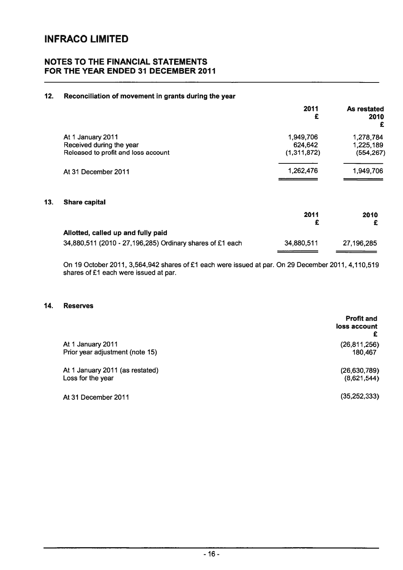## NOTES TO THE FINANCIAL STATEMENTS FOR THE YEAR ENDED 31 DECEMBER 2011

### 12. Reconciliation of movement in grants during the year

|                                                           | 2011<br>£   | As restated<br>2010<br>£ |
|-----------------------------------------------------------|-------------|--------------------------|
| At 1 January 2011                                         | 1,949,706   | 1,278,784                |
| Received during the year                                  | 624,642     | 1,225,189                |
| Released to profit and loss account                       | (1,311,872) | (554, 267)               |
| At 31 December 2011                                       | 1,262,476   | 1,949,706                |
| <b>Share capital</b>                                      |             |                          |
|                                                           | 2011        | 2010                     |
|                                                           | £           | £                        |
| Allotted, called up and fully paid                        |             |                          |
| 34,880,511 (2010 - 27,196,285) Ordinary shares of £1 each | 34,880,511  | 27,196,285               |

On 19 October 2011, 3,564,942 shares of £1 each were issued at par. On 29 December 2011, 4,110,519 shares of £1 each were issued at par.

#### 14. Reserves

 $13.$ 

|                                 | <b>Profit and</b><br>loss account |
|---------------------------------|-----------------------------------|
| At 1 January 2011               | (26, 811, 256)                    |
| Prior year adjustment (note 15) | 180,467                           |
| At 1 January 2011 (as restated) | (26, 630, 789)                    |
| Loss for the year               | (8,621,544)                       |
| At 31 December 2011             | (35, 252, 333)                    |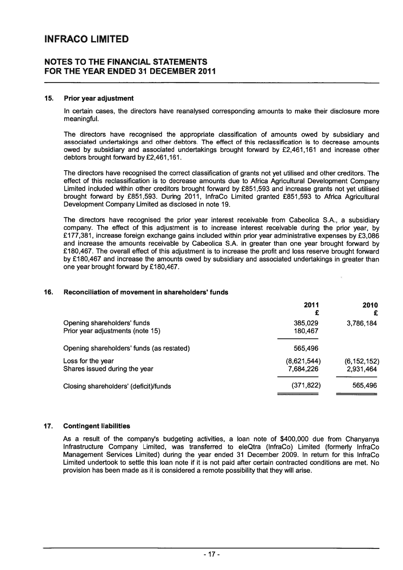### NOTES TO THE FINANCIAL STATEMENTS FOR THE YEAR ENDED 31 DECEMBER 2011

#### 15. Prior year adjustment

In certain cases, the directors have reanalysed corresponding amounts to make their disclosure more meaningful.

The directors have recognised the appropriate classification of amounts owed by subsidiary and associated undertakings and other debtors. The effect of this reclassification is to decrease amounts owed by subsidiary and associated undertakings brought forward by £2,461,161 and increase other debtors brought forward by £2,461,161.

The directors have recognised the correct classification of grants not yet utilised and other creditors. The effect of this reclassification is to decrease amounts due to Africa Agricultural Development Company Limited included within other creditors brought forward by £851,593 and increase grants not yet utilised brought forward by £851,593. During 2011, InfraCo Limited granted £851,593 to Africa Agricultural Development Company Limited as disclosed in note 19.

The directors have recognised the prior year interest receivable from Cabeolica S.A., a subsidiary company. The effect of this adjustment is to increase interest receivable during the prior year, by £177,381, increase foreign exchange gains included within prior year administrative expenses by £3,086 and increase the amounts receivable by Cabeolica S.A. in greater than one year brought forward by £180,467. The overall effect of this adjustment is to increase the profit and loss reserve brought forward by £180,467 and increase the amounts owed by subsidiary and associated undertakings in greater than one year brought forward by £180,467.

#### 16. Reconciliation of movement in shareholders' funds

|                                                                 | 2011<br>£                | 2010                       |
|-----------------------------------------------------------------|--------------------------|----------------------------|
| Opening shareholders' funds<br>Prior year adjustments (note 15) | 385,029<br>180,467       | 3,786,184                  |
| Opening shareholders' funds (as restated)                       | 565,496                  |                            |
| Loss for the year<br>Shares issued during the year              | (8,621,544)<br>7,684,226 | (6, 152, 152)<br>2,931,464 |
| Closing shareholders' (deficit)/funds                           | (371, 822)               | 565,496                    |

#### 17. Contingent liabilities

As a result of the company's budgeting activities, a loan note of \$400,000 due from Chanyanya Infrastructure Company Limited, was transferred to eleQtra (InfraCo) Limited (formerly lnfraCo Management Services Limited) during the year ended 31 December 2009. In return for this InfraCo Limited undertook to settle this loan note if it is not paid after certain contracted conditions are met. No provision has been made as it is considered a remote possibility that they will arise.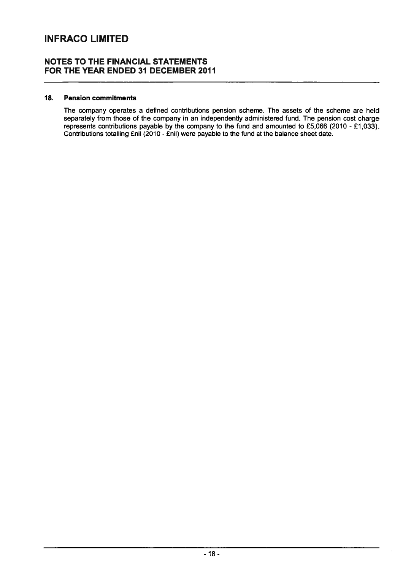### NOTES TO THE FINANCIAL STATEMENTS FOR THE YEAR ENDED 31 DECEMBER 2011

#### 18. Pension commitments

The company operates a defined contributions pension scheme. The assets of the scheme are held separately from those of the company in an independently administered fund. The pension cost charge represents contributions payable by the company to the fund and amounted to £5,066 (2010 - £1,033). Contributions totalling £nil (2010 - £nil) were payable to the fund at the balance sheet date.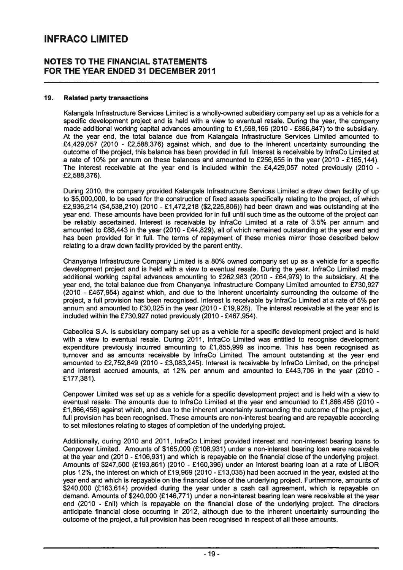### NOTES TO THE FINANCIAL STATEMENTS FOR THE YEAR ENDED 31 DECEMBER 2011

#### 19. Related party transactions

Kalangala Infrastructure Services Limited is a wholly-owned subsidiary company set up as a vehicle for a specific development project and is held with a view to eventual resale. During the year, the company made additional working capital advances amounting to £1,598,166 (2010 - £886,847) to the subsidiary. At the year end, the total balance due from Kalangala Infrastructure Services Limited amounted to £4,429,057 (2010 - £2,588,376) against which, and due to the inherent uncertainty surrounding the outcome of the project, this balance has been provided in full. Interest is receivable by InfraCo Limited at a rate of 10% per annum on these balances and amounted to £256,655 in the year (2010 - £165,144). The interest receivable at the year end is included within the £4,429,057 noted previously (2010 - £2,588,376).

During 2010, the company provided Kalangala Infrastructure Services Limited a draw down facility of up to \$5,000,000, to be used for the construction of fixed assets specifically relating to the project, of which £2,936,214 (\$4,538,210) (2010 - £1,472,218 (\$2,225,806)) had been drawn and was outstanding at the year end. These amounts have been provided for in full until such time as the outcome of the project can be reliably ascertained. Interest is receivable by InfraCo Limited at a rate of 3.5% per annum and amounted to £88,443 in the year (2010 - £44,829), all of which remained outstanding at the year end and has been provided for in full. The terms of repayment of these monies mirror those described below relating to a draw down facility provided by the parent entity.

Chanyanya Infrastructure Company Limited is a 80% owned company set up as a vehicle for a specific development project and is held with a view to eventual resale. During the year, InfraCo Limited made additional working capital advances amounting to £262,983 (2010 - £64,979) to the subsidiary. At the year end, the total balance due from Chanyanya Infrastructure Company Limited amounted to £730,927 (2010 - £467,954) against which, and due to the inherent uncertainty surrounding the outcome of the project, a full provision has been recognised. Interest is receivable by InfraCo Limited at a rate of 5% per annum and amounted to £30,025 in the year (2010 - £19,928). The interest receivable at the year end is included within the £730,927 noted previously (2010 - £467,954).

Cabeolica S.A. is subsidiary company set up as a vehicle for a specific development project and is held with a view to eventual resale. During 2011, InfraCo Limited was entitled to recognise development expenditure previously incurred amounting to £1,855,999 as income. This has been recognised as turnover and as amounts receivable by InfraCo Limited. The amount outstanding at the year end amounted to £2,752,849 (2010 - £3,083,245). Interest is receivable by InfraCo Limited, on the principal and interest accrued amounts, at 12% per annum and amounted to £443,706 in the year (2010 - £177,381).

Cenpower Limited was set up as a vehicle for a specific development project and is held with a view to eventual resale. The amounts due to InfraCo Limited at the year end amounted to £1,866,456 (2010 - £1,866,456) against which, and due to the inherent uncertainty surrounding the outcome of the project, a full provision has been recognised. These amounts are non-interest bearing and are repayable according to set milestones relating to stages of completion of the underlying project.

Additionally, during 2010 and 2011, InfraCo Limited provided interest and non-interest bearing loans to Cenpower Limited. Amounts of \$165,000 (£106,931) under a non-interest bearing loan were receivable at the year end (2010 -£106,931) and which is repayable on the financial close of the underlying project. Amounts of \$247,500 (£193,861) (2010 - £160,396) under an interest bearing loan at a rate of LIBOR pIus 12%, the interest on which of £19,969 (2010 - £13,035) had been accrued in the year, existed at the year end and which is repayable on the financial close of the underlying project. Furthermore, amounts of  $$240,000$  (£163,614) provided during the year under a cash call agreement, which is repayable on demand. Amounts of \$240,000 (£146,771) under a non-interest bearing loan were receivable at the year end (2010 - £nil) which is repayable on the financial close of the underlying project. The directors anticipate financial close occurring in 2012, although due to the inherent uncertainty surrounding the outcome of the project, a full provision has been recognised in respect of all these amounts.